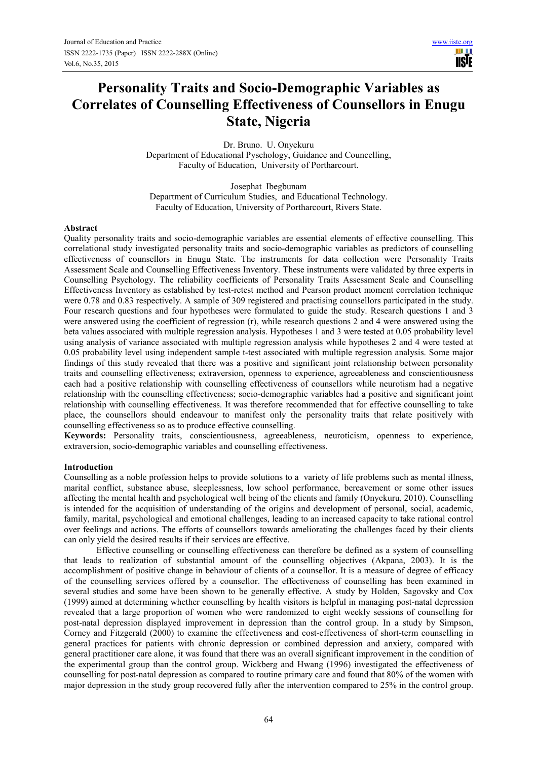**IISE** 

# **Personality Traits and Socio-Demographic Variables as Correlates of Counselling Effectiveness of Counsellors in Enugu State, Nigeria**

Dr. Bruno. U. Onyekuru Department of Educational Pyschology, Guidance and Councelling, Faculty of Education, University of Portharcourt.

Josephat Ibegbunam Department of Curriculum Studies, and Educational Technology. Faculty of Education, University of Portharcourt, Rivers State.

## **Abstract**

Quality personality traits and socio-demographic variables are essential elements of effective counselling. This correlational study investigated personality traits and socio-demographic variables as predictors of counselling effectiveness of counsellors in Enugu State. The instruments for data collection were Personality Traits Assessment Scale and Counselling Effectiveness Inventory. These instruments were validated by three experts in Counselling Psychology. The reliability coefficients of Personality Traits Assessment Scale and Counselling Effectiveness Inventory as established by test-retest method and Pearson product moment correlation technique were 0.78 and 0.83 respectively. A sample of 309 registered and practising counsellors participated in the study. Four research questions and four hypotheses were formulated to guide the study. Research questions 1 and 3 were answered using the coefficient of regression (r), while research questions 2 and 4 were answered using the beta values associated with multiple regression analysis. Hypotheses 1 and 3 were tested at 0.05 probability level using analysis of variance associated with multiple regression analysis while hypotheses 2 and 4 were tested at 0.05 probability level using independent sample t-test associated with multiple regression analysis. Some major findings of this study revealed that there was a positive and significant joint relationship between personality traits and counselling effectiveness; extraversion, openness to experience, agreeableness and conscientiousness each had a positive relationship with counselling effectiveness of counsellors while neurotism had a negative relationship with the counselling effectiveness; socio-demographic variables had a positive and significant joint relationship with counselling effectiveness. It was therefore recommended that for effective counselling to take place, the counsellors should endeavour to manifest only the personality traits that relate positively with counselling effectiveness so as to produce effective counselling.

**Keywords:** Personality traits, conscientiousness, agreeableness, neuroticism, openness to experience, extraversion, socio-demographic variables and counselling effectiveness.

#### **Introduction**

Counselling as a noble profession helps to provide solutions to a variety of life problems such as mental illness, marital conflict, substance abuse, sleeplessness, low school performance, bereavement or some other issues affecting the mental health and psychological well being of the clients and family (Onyekuru, 2010). Counselling is intended for the acquisition of understanding of the origins and development of personal, social, academic, family, marital, psychological and emotional challenges, leading to an increased capacity to take rational control over feelings and actions. The efforts of counsellors towards ameliorating the challenges faced by their clients can only yield the desired results if their services are effective.

Effective counselling or counselling effectiveness can therefore be defined as a system of counselling that leads to realization of substantial amount of the counselling objectives (Akpana, 2003). It is the accomplishment of positive change in behaviour of clients of a counsellor. It is a measure of degree of efficacy of the counselling services offered by a counsellor. The effectiveness of counselling has been examined in several studies and some have been shown to be generally effective. A study by Holden, Sagovsky and Cox (1999) aimed at determining whether counselling by health visitors is helpful in managing post-natal depression revealed that a large proportion of women who were randomized to eight weekly sessions of counselling for post-natal depression displayed improvement in depression than the control group. In a study by Simpson, Corney and Fitzgerald (2000) to examine the effectiveness and cost-effectiveness of short-term counselling in general practices for patients with chronic depression or combined depression and anxiety, compared with general practitioner care alone, it was found that there was an overall significant improvement in the condition of the experimental group than the control group. Wickberg and Hwang (1996) investigated the effectiveness of counselling for post-natal depression as compared to routine primary care and found that 80% of the women with major depression in the study group recovered fully after the intervention compared to 25% in the control group.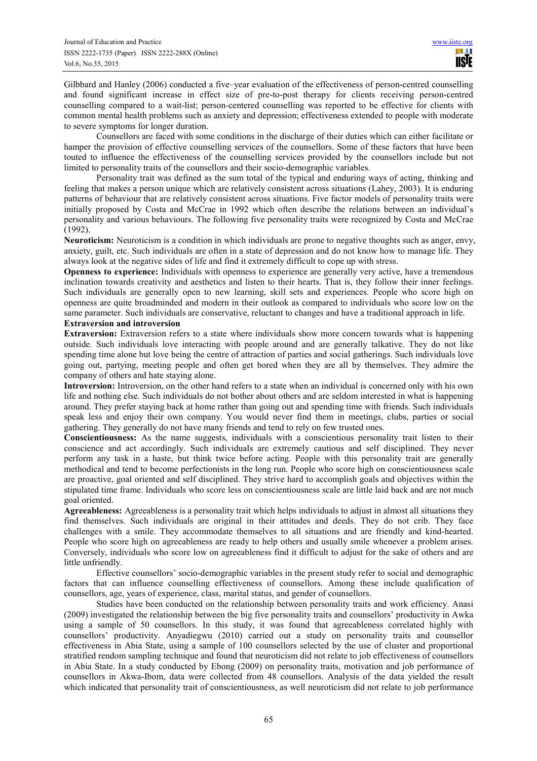Gilbbard and Hanley (2006) conducted a five–year evaluation of the effectiveness of person-centred counselling and found significant increase in effect size of pre-to-post therapy for clients receiving person-centred counselling compared to a wait-list; person-centered counselling was reported to be effective for clients with common mental health problems such as anxiety and depression; effectiveness extended to people with moderate to severe symptoms for longer duration.

Counsellors are faced with some conditions in the discharge of their duties which can either facilitate or hamper the provision of effective counselling services of the counsellors. Some of these factors that have been touted to influence the effectiveness of the counselling services provided by the counsellors include but not limited to personality traits of the counsellors and their socio-demographic variables.

Personality trait was defined as the sum total of the typical and enduring ways of acting, thinking and feeling that makes a person unique which are relatively consistent across situations (Lahey, 2003). It is enduring patterns of behaviour that are relatively consistent across situations. Five factor models of personality traits were initially proposed by Costa and McCrae in 1992 which often describe the relations between an individual's personality and various behaviours. The following five personality traits were recognized by Costa and McCrae (1992).

**Neuroticism:** Neuroticism is a condition in which individuals are prone to negative thoughts such as anger, envy, anxiety, guilt, etc. Such individuals are often in a state of depression and do not know how to manage life. They always look at the negative sides of life and find it extremely difficult to cope up with stress.

**Openness to experience:** Individuals with openness to experience are generally very active, have a tremendous inclination towards creativity and aesthetics and listen to their hearts. That is, they follow their inner feelings. Such individuals are generally open to new learning, skill sets and experiences. People who score high on openness are quite broadminded and modern in their outlook as compared to individuals who score low on the same parameter. Such individuals are conservative, reluctant to changes and have a traditional approach in life.

# **Extraversion and introversion**

**Extraversion:** Extraversion refers to a state where individuals show more concern towards what is happening outside. Such individuals love interacting with people around and are generally talkative. They do not like spending time alone but love being the centre of attraction of parties and social gatherings. Such individuals love going out, partying, meeting people and often get bored when they are all by themselves. They admire the company of others and hate staying alone.

**Introversion:** Introversion, on the other hand refers to a state when an individual is concerned only with his own life and nothing else. Such individuals do not bother about others and are seldom interested in what is happening around. They prefer staying back at home rather than going out and spending time with friends. Such individuals speak less and enjoy their own company. You would never find them in meetings, clubs, parties or social gathering. They generally do not have many friends and tend to rely on few trusted ones.

**Conscientiousness:** As the name suggests, individuals with a conscientious personality trait listen to their conscience and act accordingly. Such individuals are extremely cautious and self disciplined. They never perform any task in a haste, but think twice before acting. People with this personality trait are generally methodical and tend to become perfectionists in the long run. People who score high on conscientiousness scale are proactive, goal oriented and self disciplined. They strive hard to accomplish goals and objectives within the stipulated time frame. Individuals who score less on conscientiousness scale are little laid back and are not much goal oriented.

**Agreeableness:** Agreeableness is a personality trait which helps individuals to adjust in almost all situations they find themselves. Such individuals are original in their attitudes and deeds. They do not crib. They face challenges with a smile. They accommodate themselves to all situations and are friendly and kind-hearted. People who score high on agreeableness are ready to help others and usually smile whenever a problem arises. Conversely, individuals who score low on agreeableness find it difficult to adjust for the sake of others and are little unfriendly.

Effective counsellors' socio-demographic variables in the present study refer to social and demographic factors that can influence counselling effectiveness of counsellors. Among these include qualification of counsellors, age, years of experience, class, marital status, and gender of counsellors.

Studies have been conducted on the relationship between personality traits and work efficiency. Anasi (2009) investigated the relationship between the big five personality traits and counsellors' productivity in Awka using a sample of 50 counsellors. In this study, it was found that agreeableness correlated highly with counsellors' productivity. Anyadiegwu (2010) carried out a study on personality traits and counsellor effectiveness in Abia State, using a sample of 100 counsellors selected by the use of cluster and proportional stratified rendom sampling technique and found that neuroticism did not relate to job effectiveness of counsellors in Abia State. In a study conducted by Ebong (2009) on personality traits, motivation and job performance of counsellors in Akwa-Ibom, data were collected from 48 counsellors. Analysis of the data yielded the result which indicated that personality trait of conscientiousness, as well neuroticism did not relate to job performance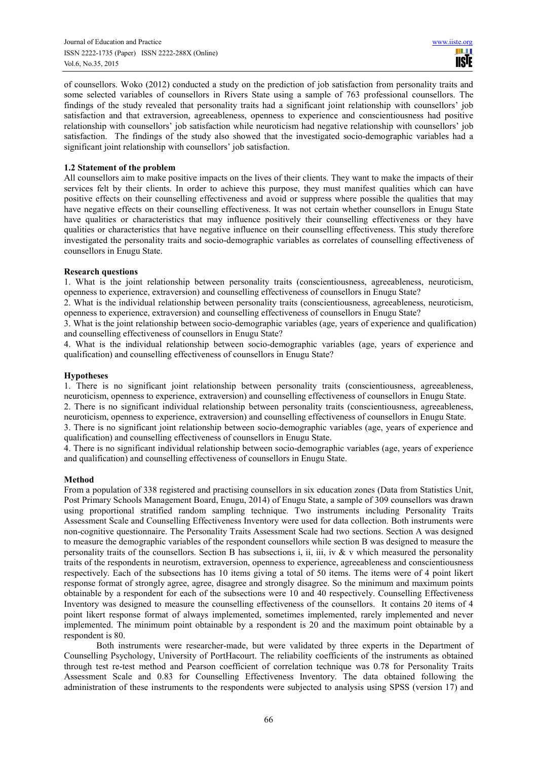of counsellors. Woko (2012) conducted a study on the prediction of job satisfaction from personality traits and some selected variables of counsellors in Rivers State using a sample of 763 professional counsellors. The findings of the study revealed that personality traits had a significant joint relationship with counsellors' job satisfaction and that extraversion, agreeableness, openness to experience and conscientiousness had positive relationship with counsellors' job satisfaction while neuroticism had negative relationship with counsellors' job satisfaction. The findings of the study also showed that the investigated socio-demographic variables had a significant joint relationship with counsellors' job satisfaction.

# **1.2 Statement of the problem**

All counsellors aim to make positive impacts on the lives of their clients. They want to make the impacts of their services felt by their clients. In order to achieve this purpose, they must manifest qualities which can have positive effects on their counselling effectiveness and avoid or suppress where possible the qualities that may have negative effects on their counselling effectiveness. It was not certain whether counsellors in Enugu State have qualities or characteristics that may influence positively their counselling effectiveness or they have qualities or characteristics that have negative influence on their counselling effectiveness. This study therefore investigated the personality traits and socio-demographic variables as correlates of counselling effectiveness of counsellors in Enugu State.

## **Research questions**

1. What is the joint relationship between personality traits (conscientiousness, agreeableness, neuroticism, openness to experience, extraversion) and counselling effectiveness of counsellors in Enugu State?

2. What is the individual relationship between personality traits (conscientiousness, agreeableness, neuroticism, openness to experience, extraversion) and counselling effectiveness of counsellors in Enugu State?

3. What is the joint relationship between socio-demographic variables (age, years of experience and qualification) and counselling effectiveness of counsellors in Enugu State?

4. What is the individual relationship between socio-demographic variables (age, years of experience and qualification) and counselling effectiveness of counsellors in Enugu State?

## **Hypotheses**

1. There is no significant joint relationship between personality traits (conscientiousness, agreeableness, neuroticism, openness to experience, extraversion) and counselling effectiveness of counsellors in Enugu State.

2. There is no significant individual relationship between personality traits (conscientiousness, agreeableness, neuroticism, openness to experience, extraversion) and counselling effectiveness of counsellors in Enugu State.

3. There is no significant joint relationship between socio-demographic variables (age, years of experience and qualification) and counselling effectiveness of counsellors in Enugu State.

4. There is no significant individual relationship between socio-demographic variables (age, years of experience and qualification) and counselling effectiveness of counsellors in Enugu State.

#### **Method**

From a population of 338 registered and practising counsellors in six education zones (Data from Statistics Unit, Post Primary Schools Management Board, Enugu, 2014) of Enugu State, a sample of 309 counsellors was drawn using proportional stratified random sampling technique. Two instruments including Personality Traits Assessment Scale and Counselling Effectiveness Inventory were used for data collection. Both instruments were non-cognitive questionnaire. The Personality Traits Assessment Scale had two sections. Section A was designed to measure the demographic variables of the respondent counsellors while section B was designed to measure the personality traits of the counsellors. Section B has subsections i, ii, iii, iv  $\&$  v which measured the personality traits of the respondents in neurotism, extraversion, openness to experience, agreeableness and conscientiousness respectively. Each of the subsections has 10 items giving a total of 50 items. The items were of 4 point likert response format of strongly agree, agree, disagree and strongly disagree. So the minimum and maximum points obtainable by a respondent for each of the subsections were 10 and 40 respectively. Counselling Effectiveness Inventory was designed to measure the counselling effectiveness of the counsellors. It contains 20 items of 4 point likert response format of always implemented, sometimes implemented, rarely implemented and never implemented. The minimum point obtainable by a respondent is 20 and the maximum point obtainable by a respondent is 80.

Both instruments were researcher-made, but were validated by three experts in the Department of Counselling Psychology, University of PortHacourt. The reliability coefficients of the instruments as obtained through test re-test method and Pearson coefficient of correlation technique was 0.78 for Personality Traits Assessment Scale and 0.83 for Counselling Effectiveness Inventory. The data obtained following the administration of these instruments to the respondents were subjected to analysis using SPSS (version 17) and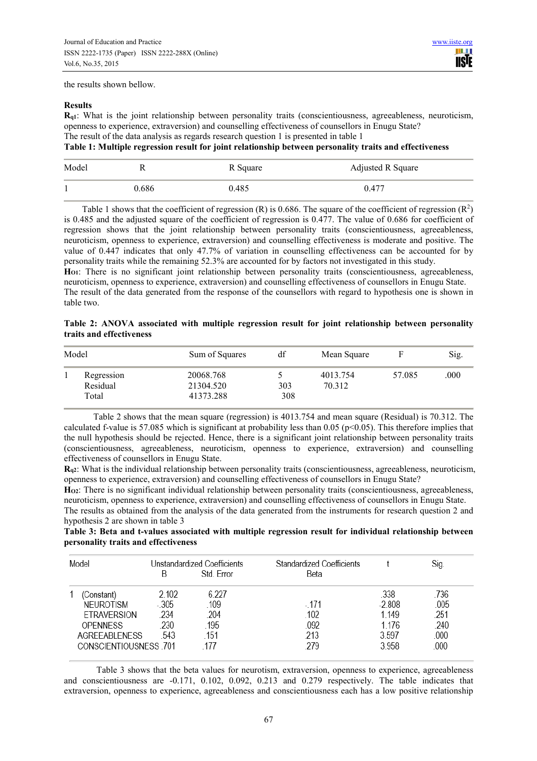the results shown bellow.

## **Results**

**Rq1**: What is the joint relationship between personality traits (conscientiousness, agreeableness, neuroticism, openness to experience, extraversion) and counselling effectiveness of counsellors in Enugu State? The result of the data analysis as regards research question 1 is presented in table 1

# **Table 1: Multiple regression result for joint relationship between personality traits and effectiveness**

| Model | R     | R Square | Adjusted R Square |
|-------|-------|----------|-------------------|
|       | 0.686 | 0.485    | 0.477             |

Table 1 shows that the coefficient of regression  $(R)$  is 0.686. The square of the coefficient of regression  $(R^2)$ is 0.485 and the adjusted square of the coefficient of regression is 0.477. The value of 0.686 for coefficient of regression shows that the joint relationship between personality traits (conscientiousness, agreeableness, neuroticism, openness to experience, extraversion) and counselling effectiveness is moderate and positive. The value of 0.447 indicates that only 47.7% of variation in counselling effectiveness can be accounted for by personality traits while the remaining 52.3% are accounted for by factors not investigated in this study. **HO1**: There is no significant joint relationship between personality traits (conscientiousness, agreeableness,

neuroticism, openness to experience, extraversion) and counselling effectiveness of counsellors in Enugu State. The result of the data generated from the response of the counsellors with regard to hypothesis one is shown in table two.

|  |                          |  |  |  | Table 2: ANOVA associated with multiple regression result for joint relationship between personality |  |
|--|--------------------------|--|--|--|------------------------------------------------------------------------------------------------------|--|
|  | traits and effectiveness |  |  |  |                                                                                                      |  |

| Model |                                 | Sum of Squares                      | df         | Mean Square        |        | Sig. |
|-------|---------------------------------|-------------------------------------|------------|--------------------|--------|------|
|       | Regression<br>Residual<br>Total | 20068.768<br>21304.520<br>41373.288 | 303<br>308 | 4013.754<br>70.312 | 57.085 | .000 |

 Table 2 shows that the mean square (regression) is 4013.754 and mean square (Residual) is 70.312. The calculated f-value is 57.085 which is significant at probability less than  $0.05$  ( $p<0.05$ ). This therefore implies that the null hypothesis should be rejected. Hence, there is a significant joint relationship between personality traits (conscientiousness, agreeableness, neuroticism, openness to experience, extraversion) and counselling effectiveness of counsellors in Enugu State.

**Rq2**: What is the individual relationship between personality traits (conscientiousness, agreeableness, neuroticism, openness to experience, extraversion) and counselling effectiveness of counsellors in Enugu State?

**HO2**: There is no significant individual relationship between personality traits (conscientiousness, agreeableness, neuroticism, openness to experience, extraversion) and counselling effectiveness of counsellors in Enugu State.

The results as obtained from the analysis of the data generated from the instruments for research question 2 and hypothesis 2 are shown in table 3

**Table 3: Beta and t-values associated with multiple regression result for individual relationship between personality traits and effectiveness** 

| Model                 |         | Unstandardized Coefficients | <b>Standardized Coefficients</b> |          | Sig. |
|-----------------------|---------|-----------------------------|----------------------------------|----------|------|
|                       | B       | Std. Error                  | Beta                             |          |      |
| (Constant)            | 2.102   | 6.227                       |                                  | .338     | .736 |
| <b>NEUROTISM</b>      | $-.305$ | .109                        | - 171                            | $-2.808$ | .005 |
| <b>ETRAVERSION</b>    | .234    | .204                        | .102                             | 1.149    | .251 |
| <b>OPENNESS</b>       | .230    | 195                         | .092                             | 1.176    | .240 |
| <b>AGREEABLENESS</b>  | .543    | .151                        | .213                             | 3.597    | .000 |
| CONSCIENTIOUSNESS 701 |         | 177                         | 279                              | 3.958    | .000 |

Table 3 shows that the beta values for neurotism, extraversion, openness to experience, agreeableness and conscientiousness are -0.171, 0.102, 0.092, 0.213 and 0.279 respectively. The table indicates that extraversion, openness to experience, agreeableness and conscientiousness each has a low positive relationship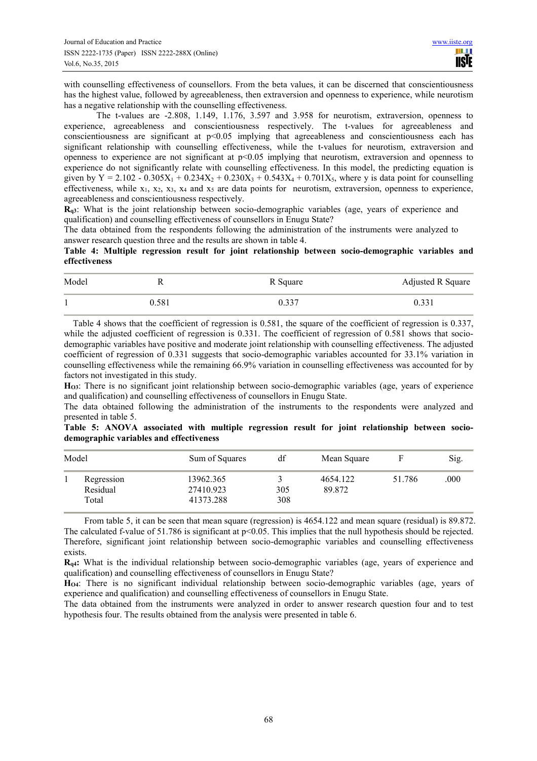with counselling effectiveness of counsellors. From the beta values, it can be discerned that conscientiousness has the highest value, followed by agreeableness, then extraversion and openness to experience, while neurotism has a negative relationship with the counselling effectiveness.

The t-values are -2.808, 1.149, 1.176, 3.597 and 3.958 for neurotism, extraversion, openness to experience, agreeableness and conscientiousness respectively. The t-values for agreeableness and conscientiousness are significant at p<0.05 implying that agreeableness and conscientiousness each has significant relationship with counselling effectiveness, while the t-values for neurotism, extraversion and openness to experience are not significant at  $p<0.05$  implying that neurotism, extraversion and openness to experience do not significantly relate with counselling effectiveness. In this model, the predicting equation is given by Y = 2.102 - 0.305X<sub>1</sub> + 0.234X<sub>2</sub> + 0.230X<sub>3</sub> + 0.543X<sub>4</sub> + 0.701X<sub>5</sub>, where y is data point for counselling effectiveness, while  $x_1$ ,  $x_2$ ,  $x_3$ ,  $x_4$  and  $x_5$  are data points for neurotism, extraversion, openness to experience, agreeableness and conscientiousness respectively.

**Rq3**: What is the joint relationship between socio-demographic variables (age, years of experience and qualification) and counselling effectiveness of counsellors in Enugu State?

The data obtained from the respondents following the administration of the instruments were analyzed to answer research question three and the results are shown in table 4.

**Table 4: Multiple regression result for joint relationship between socio-demographic variables and effectiveness** 

| Model |       | R Square | Adjusted R Square |
|-------|-------|----------|-------------------|
|       | 0.581 | 0.337    | 0.331             |

 Table 4 shows that the coefficient of regression is 0.581, the square of the coefficient of regression is 0.337, while the adjusted coefficient of regression is 0.331. The coefficient of regression of 0.581 shows that sociodemographic variables have positive and moderate joint relationship with counselling effectiveness. The adjusted coefficient of regression of 0.331 suggests that socio-demographic variables accounted for 33.1% variation in counselling effectiveness while the remaining 66.9% variation in counselling effectiveness was accounted for by factors not investigated in this study.

**HO3**: There is no significant joint relationship between socio-demographic variables (age, years of experience and qualification) and counselling effectiveness of counsellors in Enugu State.

The data obtained following the administration of the instruments to the respondents were analyzed and presented in table 5.

**Table 5: ANOVA associated with multiple regression result for joint relationship between sociodemographic variables and effectiveness** 

| Model |                                 | Sum of Squares                      | df         | Mean Square        |        | Sig. |
|-------|---------------------------------|-------------------------------------|------------|--------------------|--------|------|
|       | Regression<br>Residual<br>Total | 13962.365<br>27410.923<br>41373.288 | 305<br>308 | 4654.122<br>89.872 | 51.786 | .000 |

 From table 5, it can be seen that mean square (regression) is 4654.122 and mean square (residual) is 89.872. The calculated f-value of 51.786 is significant at  $p<0.05$ . This implies that the null hypothesis should be rejected. Therefore, significant joint relationship between socio-demographic variables and counselling effectiveness exists.

**Rq4:** What is the individual relationship between socio-demographic variables (age, years of experience and qualification) and counselling effectiveness of counsellors in Enugu State?

**HO4**: There is no significant individual relationship between socio-demographic variables (age, years of experience and qualification) and counselling effectiveness of counsellors in Enugu State.

The data obtained from the instruments were analyzed in order to answer research question four and to test hypothesis four. The results obtained from the analysis were presented in table 6.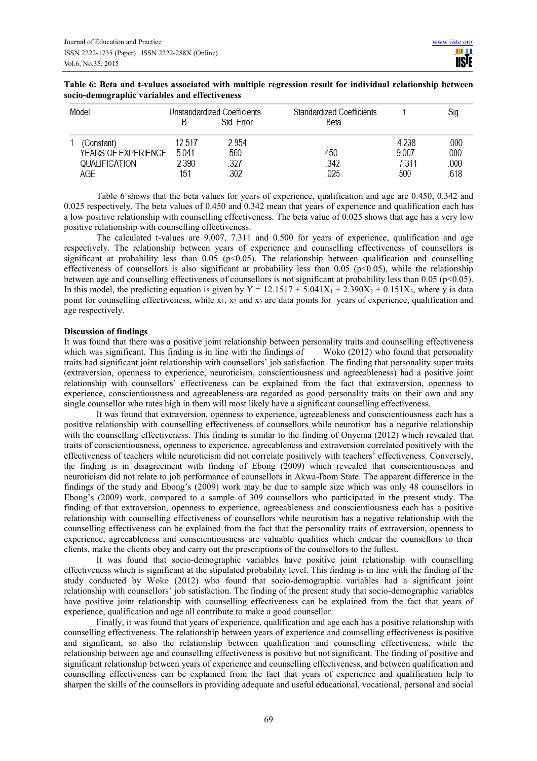| Model                                                     |                                   | Unstandardized Coefficients<br>Std Frror | Standardized Coefficients<br>Beta |                                   | Sig.                         |
|-----------------------------------------------------------|-----------------------------------|------------------------------------------|-----------------------------------|-----------------------------------|------------------------------|
| (Constant)<br>YEARS OF EXPERIENCE<br>QUALIFICATION<br>AGE | 12 517<br>5 0 4 1<br>2.390<br>151 | 2954<br>.560<br>.327<br>302              | 450<br>342<br>025                 | 4 238<br>9 0 0 7<br>7 311<br>.500 | .000<br>.000.<br>000<br>.618 |

**Table 6: Beta and t-values associated with multiple regression result for individual relationship between socio-demographic variables and effectiveness** 

Table 6 shows that the beta values for years of experience, qualification and age are 0.450, 0.342 and 0.025 respectively. The beta values of 0.450 and 0.342 mean that years of experience and qualification each has a low positive relationship with counselling effectiveness. The beta value of 0.025 shows that age has a very low positive relationship with counselling effectiveness.

The calculated t-values are 9.007, 7.311 and 0.500 for years of experience, qualification and age respectively. The relationship between years of experience and counselling effectiveness of counsellors is significant at probability less than  $0.05$  (p<0.05). The relationship between qualification and counselling effectiveness of counsellors is also significant at probability less than 0.05 (p<0.05), while the relationship between age and counselling effectiveness of counsellors is not significant at probability less than  $0.05$  (p<0.05). In this model, the predicting equation is given by  $Y = 12.1517 + 5.041X_1 + 2.390X_2 + 0.151X_3$ , where y is data point for counselling effectiveness, while  $x_1$ ,  $x_2$  and  $x_3$  are data points for years of experience, qualification and age respectively.

# **Discussion of findings**

It was found that there was a positive joint relationship between personality traits and counselling effectiveness which was significant. This finding is in line with the findings of Woko (2012) who found that personality which was significant. This finding is in line with the findings of traits had significant joint relationship with counsellors' job satisfaction. The finding that personality super traits (extraversion, openness to experience, neuroticism, conscientiousness and agreeableness) had a positive joint relationship with counsellors' effectiveness can be explained from the fact that extraversion, openness to experience, conscientiousness and agreeableness are regarded as good personality traits on their own and any single counsellor who rates high in them will most likely have a significant counselling effectiveness.

It was found that extraversion, openness to experience, agreeableness and conscientiousness each has a positive relationship with counselling effectiveness of counsellors while neurotism has a negative relationship with the counselling effectiveness. This finding is similar to the finding of Onyema (2012) which revealed that traits of conscientiousness, openness to experience, agreeableness and extraversion correlated positively with the effectiveness of teachers while neuroticism did not correlate positively with teachers' effectiveness. Conversely, the finding is in disagreement with finding of Ebong (2009) which revealed that conscientiousness and neuroticism did not relate to job performance of counsellors in Akwa-Ibom State. The apparent difference in the findings of the study and Ebong's (2009) work may be due to sample size which was only 48 counsellors in Ebong's (2009) work, compared to a sample of 309 counsellors who participated in the present study. The finding of that extraversion, openness to experience, agreeableness and conscientiousness each has a positive relationship with counselling effectiveness of counsellors while neurotism has a negative relationship with the counselling effectiveness can be explained from the fact that the personality traits of extraversion, openness to experience, agreeableness and conscientiousness are valuable qualities which endear the counsellors to their clients, make the clients obey and carry out the prescriptions of the counsellors to the fullest.

It was found that socio-demographic variables have positive joint relationship with counselling effectiveness which is significant at the stipulated probability level. This finding is in line with the finding of the study conducted by Woko (2012) who found that socio-demographic variables had a significant joint relationship with counsellors' job satisfaction. The finding of the present study that socio-demographic variables have positive joint relationship with counselling effectiveness can be explained from the fact that years of experience, qualification and age all contribute to make a good counsellor.

Finally, it was found that years of experience, qualification and age each has a positive relationship with counselling effectiveness. The relationship between years of experience and counselling effectiveness is positive and significant, so also the relationship between qualification and counselling effectiveness, while the relationship between age and counselling effectiveness is positive but not significant. The finding of positive and significant relationship between years of experience and counselling effectiveness, and between qualification and counselling effectiveness can be explained from the fact that years of experience and qualification help to sharpen the skills of the counsellors in providing adequate and useful educational, vocational, personal and social